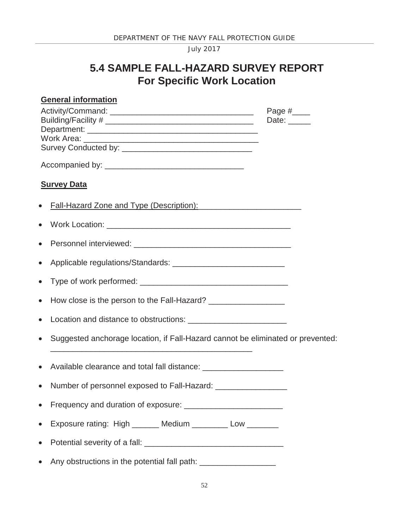July 2017

## **5.4 SAMPLE FALL-HAZARD SURVEY REPORT For Specific Work Location**

|           | <b>General information</b>                                                       |                             |  |
|-----------|----------------------------------------------------------------------------------|-----------------------------|--|
|           |                                                                                  | Page #_____<br>Date: $\_\_$ |  |
|           |                                                                                  |                             |  |
|           | <b>Survey Data</b>                                                               |                             |  |
|           |                                                                                  |                             |  |
|           |                                                                                  |                             |  |
| $\bullet$ |                                                                                  |                             |  |
| $\bullet$ |                                                                                  |                             |  |
| $\bullet$ |                                                                                  |                             |  |
| $\bullet$ |                                                                                  |                             |  |
|           |                                                                                  |                             |  |
| $\bullet$ | Suggested anchorage location, if Fall-Hazard cannot be eliminated or prevented:  |                             |  |
| $\bullet$ | Available clearance and total fall distance: ___________________________________ |                             |  |
|           | Number of personnel exposed to Fall-Hazard: ___________________                  |                             |  |
| $\bullet$ |                                                                                  |                             |  |
| $\bullet$ | Exposure rating: High _______ Medium ________ Low _______                        |                             |  |
| $\bullet$ |                                                                                  |                             |  |
| $\bullet$ | Any obstructions in the potential fall path: ____________________                |                             |  |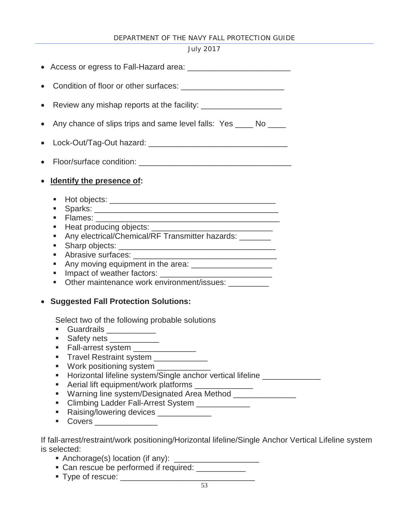## DEPARTMENT OF THE NAVY FALL PROTECTION GUIDE

## July 2017

| $\bullet$ |                                                                                                                                                                                                                                                                                                                                                                                                                                                                                                                                                                                                               |
|-----------|---------------------------------------------------------------------------------------------------------------------------------------------------------------------------------------------------------------------------------------------------------------------------------------------------------------------------------------------------------------------------------------------------------------------------------------------------------------------------------------------------------------------------------------------------------------------------------------------------------------|
| $\bullet$ | Any chance of slips trips and same level falls: Yes ____ No ____                                                                                                                                                                                                                                                                                                                                                                                                                                                                                                                                              |
| $\bullet$ |                                                                                                                                                                                                                                                                                                                                                                                                                                                                                                                                                                                                               |
| $\bullet$ |                                                                                                                                                                                                                                                                                                                                                                                                                                                                                                                                                                                                               |
|           | <b>Identify the presence of:</b>                                                                                                                                                                                                                                                                                                                                                                                                                                                                                                                                                                              |
|           | ٠<br>п<br>п<br>ш<br>Any electrical/Chemical/RF Transmitter hazards: _______<br>ш<br>Sharp objects: <b>contract of the contract of the contract of the contract of the contract of the contract of the contract of the contract of the contract of the contract of the contract of the contract of the contract of th</b><br>ш<br>٠<br>٠<br>ш<br>Other maintenance work environment/issues: __________<br>ш                                                                                                                                                                                                    |
|           | <b>Suggested Fall Protection Solutions:</b><br>Select two of the following probable solutions<br>Guardrails ____________<br>Safety nets _____________<br>Fall-arrest system _______________<br>Travel Restraint system ____________<br>Work positioning system _____________<br>п<br>Horizontal lifeline system/Single anchor vertical lifeline _______<br>п<br>Aerial lift equipment/work platforms ______________<br>ш<br>Warning line system/Designated Area Method<br>ш<br>Climbing Ladder Fall-Arrest System ____________<br>ш<br>Raising/lowering devices _____________<br>п<br>Covers ________________ |

If fall-arrest/restraint/work positioning/Horizontal lifeline/Single Anchor Vertical Lifeline system is selected:

- Anchorage(s) location (if any): \_\_\_\_\_\_\_\_\_\_\_\_\_\_\_\_\_\_\_
- Can rescue be performed if required: \_\_\_\_\_\_\_\_\_\_\_\_
- Type of rescue: \_\_\_\_\_\_\_\_\_\_\_\_\_\_\_\_\_\_\_\_\_\_\_\_\_\_\_\_\_\_